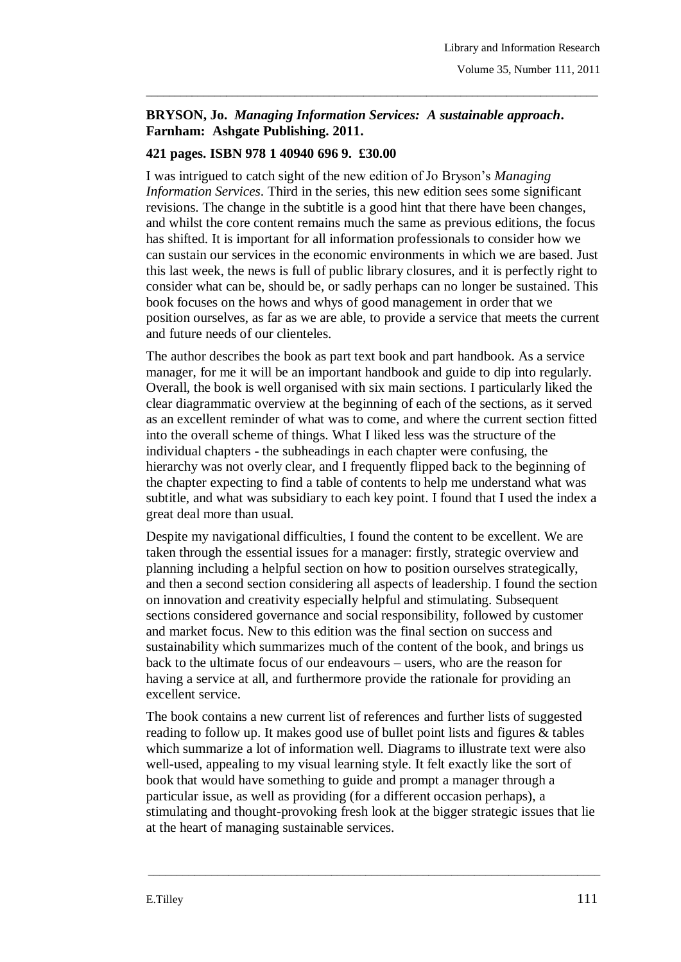## **BRYSON, Jo.** *Managing Information Services: A sustainable approach***. Farnham: Ashgate Publishing. 2011.**

\_\_\_\_\_\_\_\_\_\_\_\_\_\_\_\_\_\_\_\_\_\_\_\_\_\_\_\_\_\_\_\_\_\_\_\_\_\_\_\_\_\_\_\_\_\_\_\_\_\_\_\_\_\_\_\_\_\_\_\_\_\_\_\_\_\_\_\_\_\_\_\_\_\_\_\_\_\_\_

## **421 pages. ISBN 978 1 40940 696 9. £30.00**

I was intrigued to catch sight of the new edition of Jo Bryson's *Managing Information Services*. Third in the series, this new edition sees some significant revisions. The change in the subtitle is a good hint that there have been changes, and whilst the core content remains much the same as previous editions, the focus has shifted. It is important for all information professionals to consider how we can sustain our services in the economic environments in which we are based. Just this last week, the news is full of public library closures, and it is perfectly right to consider what can be, should be, or sadly perhaps can no longer be sustained. This book focuses on the hows and whys of good management in order that we position ourselves, as far as we are able, to provide a service that meets the current and future needs of our clienteles.

The author describes the book as part text book and part handbook. As a service manager, for me it will be an important handbook and guide to dip into regularly. Overall, the book is well organised with six main sections. I particularly liked the clear diagrammatic overview at the beginning of each of the sections, as it served as an excellent reminder of what was to come, and where the current section fitted into the overall scheme of things. What I liked less was the structure of the individual chapters - the subheadings in each chapter were confusing, the hierarchy was not overly clear, and I frequently flipped back to the beginning of the chapter expecting to find a table of contents to help me understand what was subtitle, and what was subsidiary to each key point. I found that I used the index a great deal more than usual.

Despite my navigational difficulties, I found the content to be excellent. We are taken through the essential issues for a manager: firstly, strategic overview and planning including a helpful section on how to position ourselves strategically, and then a second section considering all aspects of leadership. I found the section on innovation and creativity especially helpful and stimulating. Subsequent sections considered governance and social responsibility, followed by customer and market focus. New to this edition was the final section on success and sustainability which summarizes much of the content of the book, and brings us back to the ultimate focus of our endeavours – users, who are the reason for having a service at all, and furthermore provide the rationale for providing an excellent service.

The book contains a new current list of references and further lists of suggested reading to follow up. It makes good use of bullet point lists and figures & tables which summarize a lot of information well. Diagrams to illustrate text were also well-used, appealing to my visual learning style. It felt exactly like the sort of book that would have something to guide and prompt a manager through a particular issue, as well as providing (for a different occasion perhaps), a stimulating and thought-provoking fresh look at the bigger strategic issues that lie at the heart of managing sustainable services.

\_\_\_\_\_\_\_\_\_\_\_\_\_\_\_\_\_\_\_\_\_\_\_\_\_\_\_\_\_\_\_\_\_\_\_\_\_\_\_\_\_\_\_\_\_\_\_\_\_\_\_\_\_\_\_\_\_\_\_\_\_\_\_\_\_\_\_\_\_\_\_\_\_\_\_\_\_\_\_